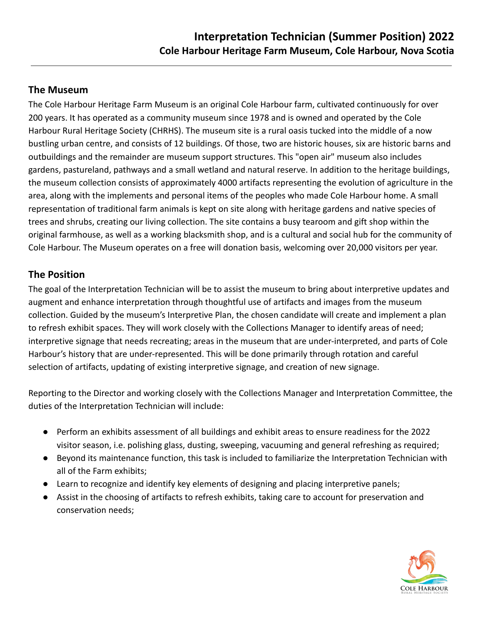## **The Museum**

The Cole Harbour Heritage Farm Museum is an original Cole Harbour farm, cultivated continuously for over 200 years. It has operated as a community museum since 1978 and is owned and operated by the Cole Harbour Rural Heritage Society (CHRHS). The museum site is a rural oasis tucked into the middle of a now bustling urban centre, and consists of 12 buildings. Of those, two are historic houses, six are historic barns and outbuildings and the remainder are museum support structures. This "open air" museum also includes gardens, pastureland, pathways and a small wetland and natural reserve. In addition to the heritage buildings, the museum collection consists of approximately 4000 artifacts representing the evolution of agriculture in the area, along with the implements and personal items of the peoples who made Cole Harbour home. A small representation of traditional farm animals is kept on site along with heritage gardens and native species of trees and shrubs, creating our living collection. The site contains a busy tearoom and gift shop within the original farmhouse, as well as a working blacksmith shop, and is a cultural and social hub for the community of Cole Harbour. The Museum operates on a free will donation basis, welcoming over 20,000 visitors per year.

## **The Position**

The goal of the Interpretation Technician will be to assist the museum to bring about interpretive updates and augment and enhance interpretation through thoughtful use of artifacts and images from the museum collection. Guided by the museum's Interpretive Plan, the chosen candidate will create and implement a plan to refresh exhibit spaces. They will work closely with the Collections Manager to identify areas of need; interpretive signage that needs recreating; areas in the museum that are under-interpreted, and parts of Cole Harbour's history that are under-represented. This will be done primarily through rotation and careful selection of artifacts, updating of existing interpretive signage, and creation of new signage.

Reporting to the Director and working closely with the Collections Manager and Interpretation Committee, the duties of the Interpretation Technician will include:

- Perform an exhibits assessment of all buildings and exhibit areas to ensure readiness for the 2022 visitor season, i.e. polishing glass, dusting, sweeping, vacuuming and general refreshing as required;
- Beyond its maintenance function, this task is included to familiarize the Interpretation Technician with all of the Farm exhibits;
- Learn to recognize and identify key elements of designing and placing interpretive panels;
- Assist in the choosing of artifacts to refresh exhibits, taking care to account for preservation and conservation needs;